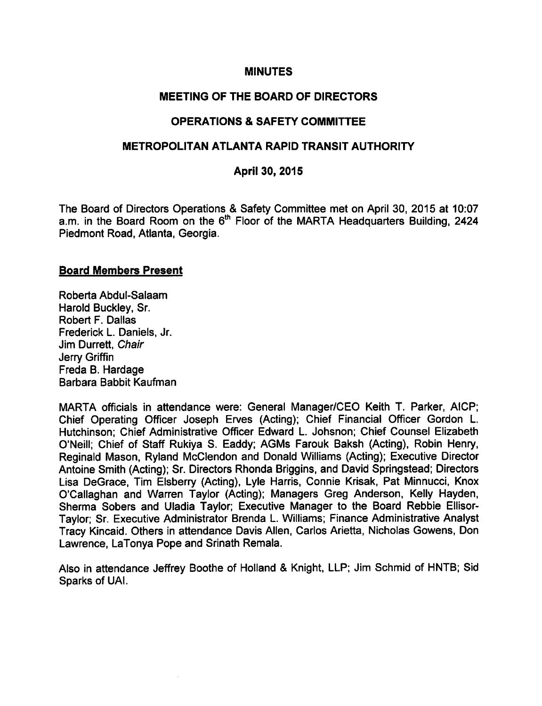#### MINUTES

#### MEETING OF THE BOARD OF DIRECTORS

#### OPERATIONS & SAFETY COMMITTEE

#### METROPOLITAN ATLANTA RAPID TRANSIT AUTHORITY

#### April 30, 2015

The Board of Directors Operations & Safety Committee met on April 30, 2015 at 10:07 a.m. in the Board Room on the 6<sup>th</sup> Floor of the MARTA Headquarters Building, 2424 Piedmont Road, Atlanta, Georgia.

#### Board Members Present

Roberta Abdul-Salaam Harold Buckley, Sr. Robert F. Dallas Frederick L. Daniels, Jr. Jim Durrett, Chair Jerry Griffin Freda B. Hardage Barbara Babbit Kaufman

MARTA officials in attendance were: General Manager/CEO Keith T. Parker, AICP; Chief Operating Officer Joseph Erves (Acting); Chief Financial Officer Gordon L. Hutchinson; Chief Administrative Officer Edward L. Johsnon; Chief Counsel Elizabeth O'Neill; Chief of Staff Rukiya S. Eaddy; AGMs Farouk Baksh (Acting), Robin Henry, Reginald Mason, Ryland McClendon and Donald Williams (Acting); Executive Director Antoine Smith (Acting); Sr. Directors Rhonda Briggins, and David Springstead; Directors Lisa DeGrace, Tim Elsberry (Acting), Lyle Harris, Connie Krisak, Pat Minnucci, Knox O'Callaghan and Warren Taylor (Acting); Managers Greg Anderson, Kelly Hayden, Sherma Sobers and Uladia Taylor; Executive Manager to the Board Rebbie Ellisor-Taylor; Sr. Executive Administrator Brenda L. Williams; Finance Administrative Analyst Tracy Kincaid. Others in attendance Davis Allen, Carlos Arietta, Nicholas Gowens, Don Lawrence, LaTonya Pope and Srinath Remala.

Also in attendance Jeffrey Boothe of Holland & Knight, LLP; Jim Schmid of HNTB: Sid Sparks of UAI.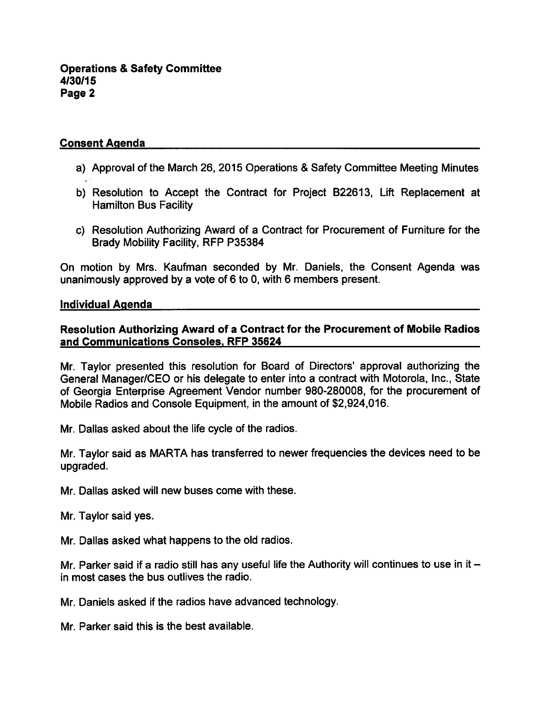# Consent Agenda

- a) Approval of the March 26, 2015 Operations & Safety Committee Meeting Minutes
- b) Resolution to Accept the Contract for Project B22613, Lift Replacement at Hamilton Bus Facility
- c) Resolution Authorizing Award of a Contract for Procurement of Furniture for the Brady Mobility Facility, RFP P35384

On motion by Mrs. Kaufman seconded by Mr. Daniels, the Consent Agenda was unanimously approved by a vote of  $6$  to 0, with 6 members present.

#### Individual Agenda

# Resolution Authorizing Award of a Contract for the Procurement of Mobile Radios and Communications Consoles. RFP 35624

Mr. Taylor presented this resolution for Board of Directors' approval authorizing the General Manager/CEO or his delegate to enter into a contract with Motorola, Inc., State of Georgia Enterprise Agreement Vendor number 980-280008, for the procurement of Mobile Radios and Console Equipment, in the amount of \$2,924,016.

Mr. Dallas asked about the life cycle of the radios.

Mr. Taylor said as MARTA has transferred to newer frequencies the devices need to be upgraded.

Mr. Dallas asked will new buses come with these.

Mr. Taylor said yes.

Mr. Dallas asked what happens to the old radios.

Mr. Parker said if a radio still has any useful life the Authority will continues to use in it  $$ in most cases the bus outlives the radio.

Mr. Daniels asked if the radios have advanced technology.

Mr. Parker said this is the best available.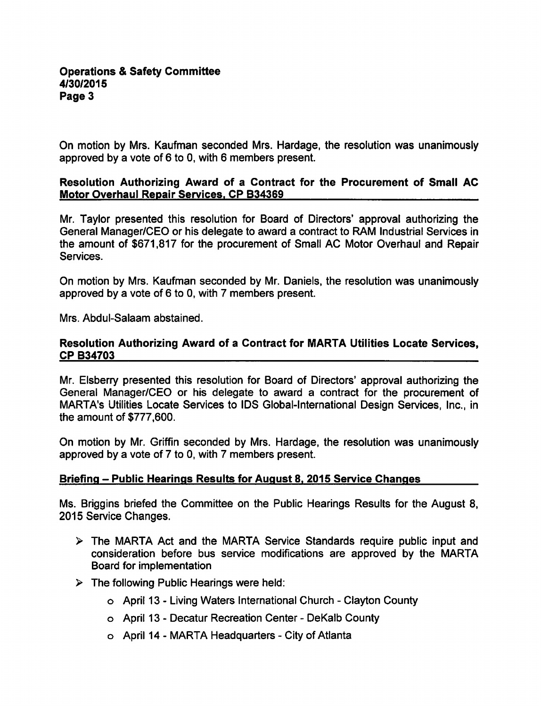On motion by Mrs. Kaufman seconded Mrs. Hardage, the resolution was unanimously approved by a vote of  $6$  to 0, with  $6$  members present.

## Resolution Authorizing Award of a Contract for the Procurement of Small AC Motor Overhaul Repair Services. CP B34369

Mr. Taylor presented this resolution for Board of Directors' approval authorizing the General Manager/CEO or his delegate to award a contract to RAM Industrial Services in the amount of \$671,817 for the procurement of Small AC Motor Overhaul and Repair Services.

On motion by Mrs. Kaufman seconded by Mr. Daniels, the resolution was unanimously approved by a vote of  $6$  to 0, with  $7$  members present.

Mrs. Abdul-Salaam abstained.

### Resolution Authorizing Award of a Contract for MARTA Utilities Locate Services, CP B34703

Mr. Elsberry presented this resolution for Board of Directors' approval authorizing the General Manager/CEO or his delegate to award a contract for the procurement of MARTA's Utilities Locate Services to IDS Global-International Design Services, Inc., in the amount of \$777,600.

On motion by Mr. Griffin seconded by Mrs. Hardage, the resolution was unanimously approved by a vote of  $7$  to 0, with  $7$  members present.

### Briefing – Public Hearings Results for August 8, 2015 Service Changes

Ms. Briggins briefed the Committee on the Public Hearings Results for the August 8, 2015 Service Changes.

- $\triangleright$  The MARTA Act and the MARTA Service Standards require public input and consideration before bus service modifications are approved by the MARTA Board for implementation
- $\triangleright$  The following Public Hearings were held:
	- o April 13 Living Waters International Church Clayton County
	- o April 13 Decatur Recreation Center DeKalb County
	- $\circ$  April 14 MARTA Headquarters City of Atlanta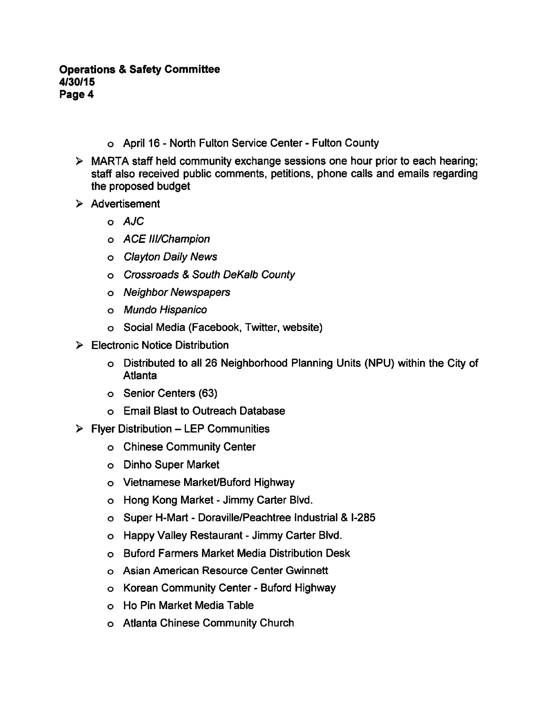- o April 16 North Fulton Service Center Fulton County
- $\triangleright$  MARTA staff held community exchange sessions one hour prior to each hearing; staff also received public comments, petitions, phone calls and emails regarding the proposed budget
- $\triangleright$  Advertisement
	- AJC
	- o ACE III/Champion
	- Clayton Daily News
	- o Crossroads & South DeKalb County
	- Neighbor Newspapers
	- Mundo Hispanico
	- Social Media (Facebook, Twitter, website)
- Electronic Notice Distribution
	- Distributed to all 26 Neighborhood Planning Units (NPU) within the City of Atlanta
	- o Senior Centers (63)
	- Email Blast to Outreach Database
- $\triangleright$  Flyer Distribution LEP Communities
	- Chinese Community Center
	- Dinho Super Market
	- Vietnamese Market/Buford Highway
	- o Hong Kong Market Jimmy Carter Blvd.
	- o Super H-Mart Doraville/Peachtree Industrial & I-285
	- o Happy Valley Restaurant Jimmy Carter Blvd.
	- Buford Farmers Market Media Distribution Desk
	- Asian American Resource Center Gwinnett
	- o Korean Community Center Buford Highway
	- Ho Pin Market Media Table
	- Atlanta Chinese Community Church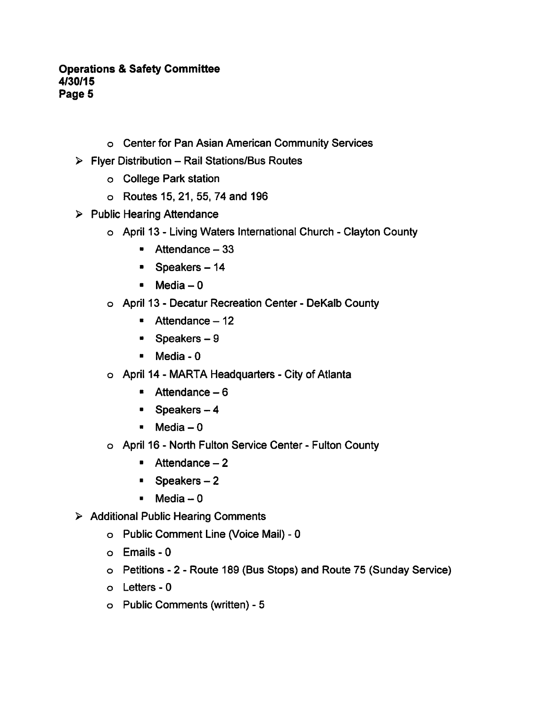- Center for Pan Asian American Community Services
- $\triangleright$  Flyer Distribution Rail Stations/Bus Routes
	- College Park station
	- Routes 15, 21, 55, 74 and 196
- $\triangleright$  Public Hearing Attendance
	- o April 13 Living Waters International Church Clayton County
		- $\blacksquare$  Attendance  $-33$
		- **Speakers-14**
		- $Media 0$
	- o April 13 Decatur Recreation Center DeKalb County
		- $\blacksquare$  Attendance 12
		- $\bullet$  Speakers  $-9$
		- $M$ edia 0
	- o April 14 MARTA Headquarters City of Atlanta
		- $\bullet$  Attendance  $-6$
		- $\blacksquare$  Speakers  $-4$
		- $Media-0$
	- o April 16 North Fulton Service Center Fulton County
		- $\blacksquare$  Attendance 2
		- $\blacksquare$  Speakers  $-2$
		- $-Media 0$
- $\triangleright$  Additional Public Hearing Comments
	- o Public Comment Line (Voice Mail) 0
	- o Emails 0
	- o Petitions 2 Route 189 (Bus Stops) and Route 75 (Sunday Service)
	- o Letters 0
	- o Public Comments (written) 5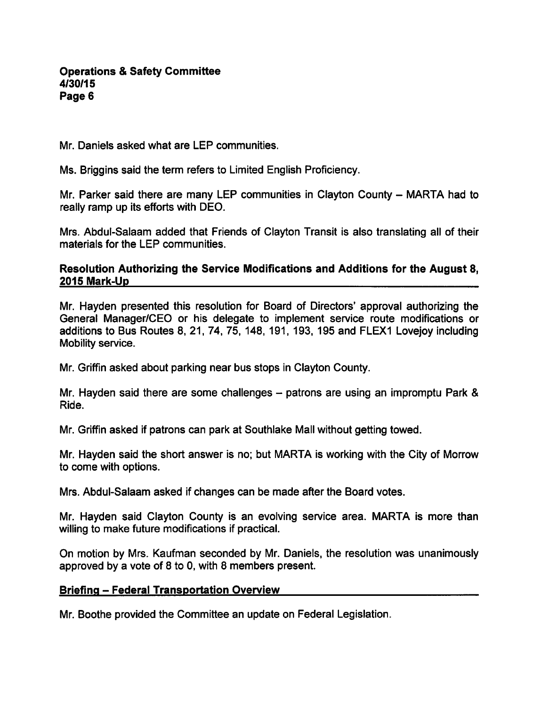Mr. Daniels asked what are LEP communities.

Ms. Briggins said the term refers to Limited English Proficiency.

Mr. Parker said there are many LEP communities in Clayton County  $-$  MARTA had to really ramp up its efforts with DEO.

Mrs. Abdul-Salaam added that Friends of Clayton Transit is also translating all of their materials for the LEP communities.

## Resolution Authorizing the Service Modifications and Additions for the August 8, 2015 Mark-Up

Mr. Hayden presented this resolution for Board of Directors' approval authorizing the General Manager/CEO or his delegate to implement service route modifications or additions to Bus Routes 8, 21, 74, 75, 148, 191, 193, 195 and FLEX1 Lovejoy including Mobility service.

Mr. Griffin asked about parking near bus stops in Clayton County.

Mr. Hayden said there are some challenges  $-$  patrons are using an impromptu Park & Ride.

Mr. Griffin asked if patrons can park at Southlake Mall without getting towed.

Mr. Hayden said the short answer is no; but MARTA is working with the City of Morrow to come with options.

Mrs. Abdul-Salaam asked if changes can be made after the Board votes.

Mr. Hayden said Clayton County is an evolving service area. MARTA is more than willing to make future modifications if practical.

On motion by Mrs. Kaufman seconded by Mr. Daniels, the resolution was unanimously approved by a vote of  $8$  to 0, with  $8$  members present.

### **Briefing - Federal Transportation Overview**

Mr. Boothe provided the Committee an update on Federal Legislation.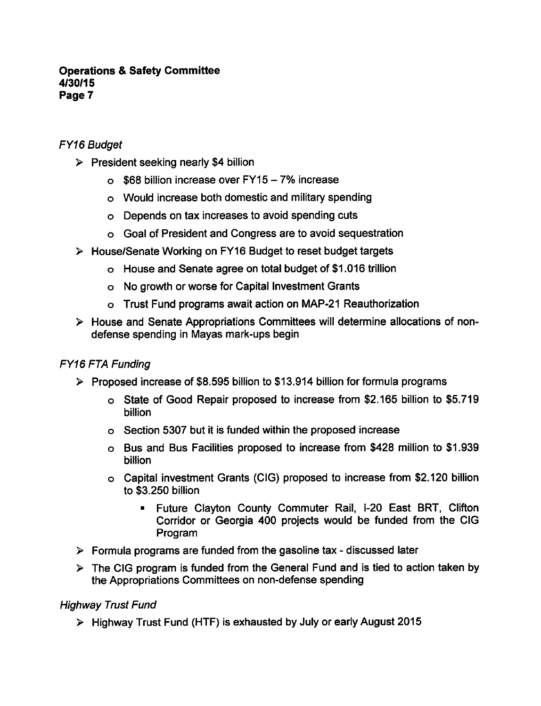# FY16 Budget

- $\triangleright$  President seeking nearly \$4 billion
	- $\circ$  \$68 billion increase over FY15 7% increase
	- Would increase both domestic and military spending
	- Depends on tax increases to avoid spending cuts
	- Goal of President and Congress are to avoid sequestration
- House/Senate Working on FY16 Budget to reset budget targets
	- House and Senate agree on total budget of \$1.016 trillion
	- No growth or worse for Capital Investment Grants
	- Trust Fund programs await action on MAP-21 Reauthorization
- House and Senate Appropriations Committees will determine allocations of nondefense spending in Mayas mark-ups begin

# FY16 FTA Funding

- $\triangleright$  Proposed increase of \$8.595 billion to \$13.914 billion for formula programs
	- o State of Good Repair proposed to increase from \$2.165 billion to \$5.719 billion
	- Section 5307 but it is funded within the proposed increase
	- Bus and Bus Facilities proposed to increase from \$428 million to \$1,939 billion
	- Capital investment Grants (CIG) proposed to increase from \$2,120 billion to \$3,250 billion
		- Future Clayton County Commuter Rail, I-20 East BRT, Clifton Corridor or Georgia 400 projects would be funded from the CIG Program
- $\triangleright$  Formula programs are funded from the gasoline tax discussed later
- $\triangleright$  The CIG program is funded from the General Fund and is tied to action taken by the Appropriations Committees on non-defense spending

### Highway Tmst Fund

 $\triangleright$  Highway Trust Fund (HTF) is exhausted by July or early August 2015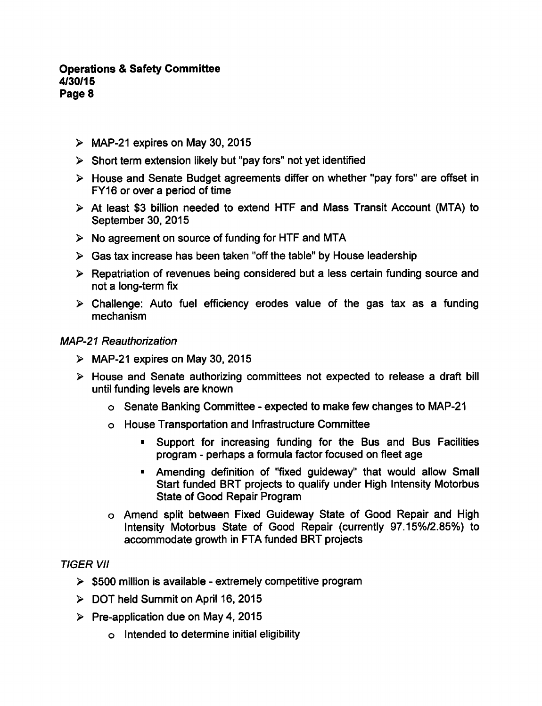- $\triangleright$  MAP-21 expires on May 30, 2015
- $\triangleright$  Short term extension likely but "pay fors" not yet identified
- House and Senate Budget agreements differ on whether "pay fors" are offset in FY16 or over a period of time
- At least \$3 billion needed to extend HTF and Mass Transit Account (MTA) to September 30, 2015
- $\triangleright$  No agreement on source of funding for HTF and MTA
- $\triangleright$  Gas tax increase has been taken "off the table" by House leadership
- $\triangleright$  Repatriation of revenues being considered but a less certain funding source and not a long-term fix
- $\triangleright$  Challenge: Auto fuel efficiency erodes value of the gas tax as a funding mechanism

#### MAP-21 Reauthorization

- $\triangleright$  MAP-21 expires on May 30, 2015
- $\triangleright$  House and Senate authorizing committees not expected to release a draft bill until funding levels are known
	- o Senate Banking Committee expected to make few changes to MAP-21
	- House Transportation and Infrastructure Committee
		- **Support for increasing funding for the Bus and Bus Facilities** program - perhaps a formula factor focused on fleet age
		- Amending definition of "fixed guideway" that would allow Small Start funded BRT projects to qualify under High Intensity Motorbus State of Good Repair Program
	- Amend split between Fixed Guideway State of Good Repair and High Intensity Motorbus State of Good Repair (currently 97.15%/2.85%) to accommodate growth in FTA funded BRT projects

### TIGER VII

- $>$  \$500 million is available extremely competitive program
- DOT held Summit on April 16, 2015
- $\triangleright$  Pre-application due on May 4, 2015
	- Intended to determine initial eligibility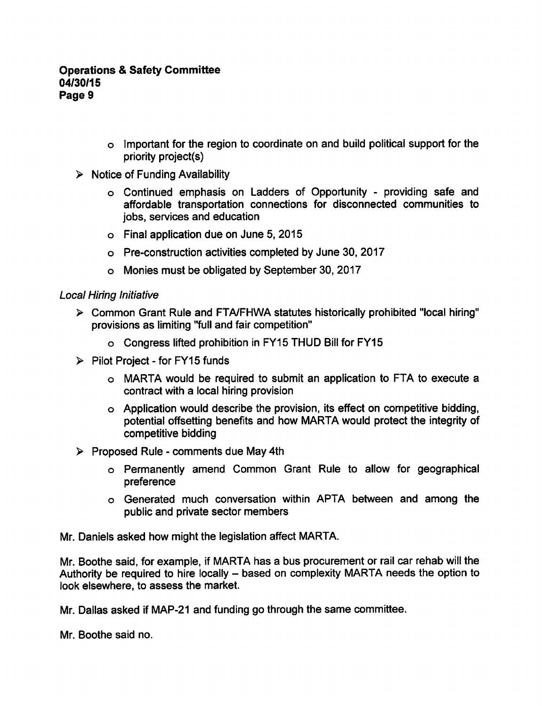- Important for the region to coordinate on and build political support for the priority project(s)
- $\triangleright$  Notice of Funding Availability
	- o Continued emphasis on Ladders of Opportunity providing safe and affordable transportation connections for disconnected communities to jobs, services and education
	- Final application due on June 5, 2015
	- Pre-construction activities completed by June 30, 2017
	- Monies must be obligated by September 30, 2017

### Local Hiring Initiative

- Common Grant Rule and FTA/FHWA statutes historically prohibited "local hiring" provisions as limiting "full and fair competition"
	- Congress lifted prohibition in FY15 THUD Bill for FY15
- $\triangleright$  Pilot Project for FY15 funds
	- MARTA would be required to submit an application to FTA to execute contract with a local hiring provision
	- Application would describe the provision, its effect on competitive bidding, potential offsetting benefits and how MARTA would protect the integrity of competitive bidding
- $\triangleright$  Proposed Rule comments due May 4th
	- Permanently amend Common Grant Rule to allow for geographical preference
	- Generated much conversation within APTA between and among the public and private sector members

Mr. Daniels asked how might the legislation affect MARTA.

Mr. Boothe said, for example, if MARTA has a bus procurement or rail car rehab will the Authority be required to hire locally – based on complexity MARTA needs the option to look elsewhere, to assess the market.

Mr. Dallas asked if MAP-21 and funding go through the same committee.

Mr. Boothe said no.